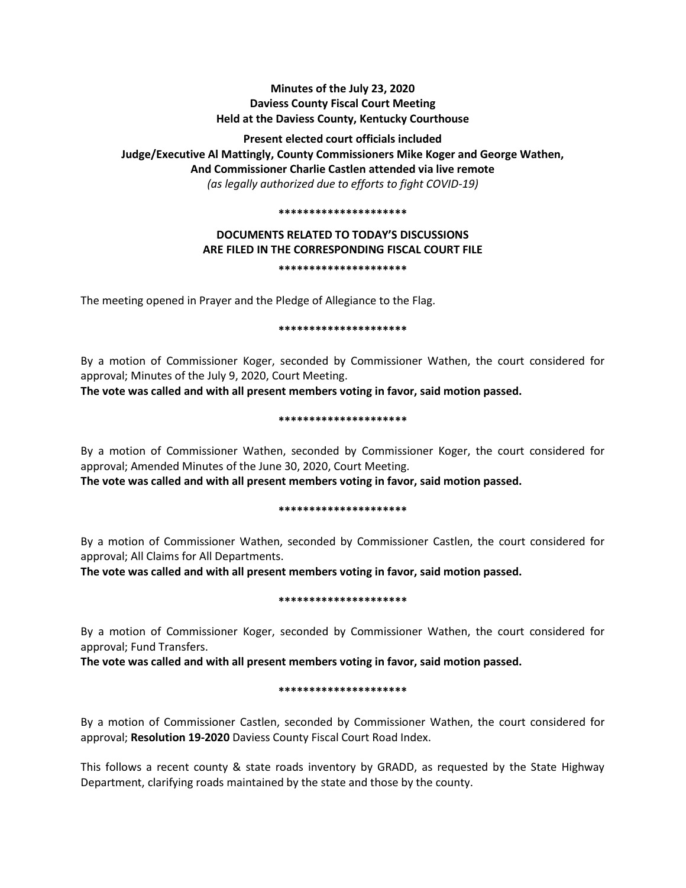# **Minutes of the July 23, 2020 Daviess County Fiscal Court Meeting Held at the Daviess County, Kentucky Courthouse**

**Present elected court officials included Judge/Executive Al Mattingly, County Commissioners Mike Koger and George Wathen, And Commissioner Charlie Castlen attended via live remote**  *(as legally authorized due to efforts to fight COVID-19)* 

#### **\*\*\*\*\*\*\*\*\*\*\*\*\*\*\*\*\*\*\*\*\***

# **DOCUMENTS RELATED TO TODAY'S DISCUSSIONS ARE FILED IN THE CORRESPONDING FISCAL COURT FILE \*\*\*\*\*\*\*\*\*\*\*\*\*\*\*\*\*\*\*\*\***

The meeting opened in Prayer and the Pledge of Allegiance to the Flag.

### **\*\*\*\*\*\*\*\*\*\*\*\*\*\*\*\*\*\*\*\*\***

By a motion of Commissioner Koger, seconded by Commissioner Wathen, the court considered for approval; Minutes of the July 9, 2020, Court Meeting.

**The vote was called and with all present members voting in favor, said motion passed.** 

#### **\*\*\*\*\*\*\*\*\*\*\*\*\*\*\*\*\*\*\*\*\***

By a motion of Commissioner Wathen, seconded by Commissioner Koger, the court considered for approval; Amended Minutes of the June 30, 2020, Court Meeting.

**The vote was called and with all present members voting in favor, said motion passed.** 

### **\*\*\*\*\*\*\*\*\*\*\*\*\*\*\*\*\*\*\*\*\***

By a motion of Commissioner Wathen, seconded by Commissioner Castlen, the court considered for approval; All Claims for All Departments.

**The vote was called and with all present members voting in favor, said motion passed.** 

### **\*\*\*\*\*\*\*\*\*\*\*\*\*\*\*\*\*\*\*\*\***

By a motion of Commissioner Koger, seconded by Commissioner Wathen, the court considered for approval; Fund Transfers.

**The vote was called and with all present members voting in favor, said motion passed.** 

### **\*\*\*\*\*\*\*\*\*\*\*\*\*\*\*\*\*\*\*\*\***

By a motion of Commissioner Castlen, seconded by Commissioner Wathen, the court considered for approval; **Resolution 19-2020** Daviess County Fiscal Court Road Index.

This follows a recent county & state roads inventory by GRADD, as requested by the State Highway Department, clarifying roads maintained by the state and those by the county.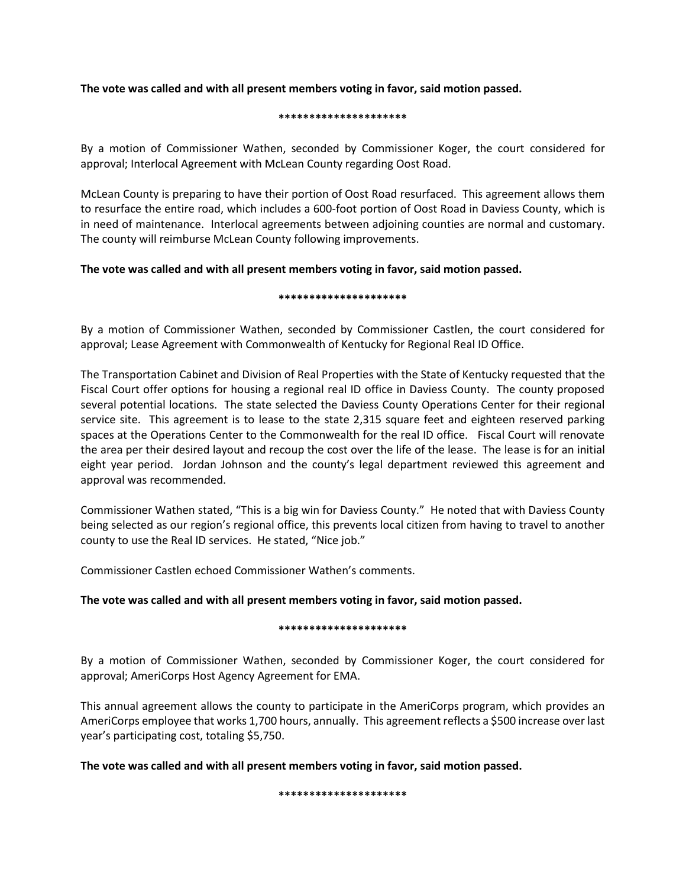**The vote was called and with all present members voting in favor, said motion passed.** 

### **\*\*\*\*\*\*\*\*\*\*\*\*\*\*\*\*\*\*\*\*\***

By a motion of Commissioner Wathen, seconded by Commissioner Koger, the court considered for approval; Interlocal Agreement with McLean County regarding Oost Road.

McLean County is preparing to have their portion of Oost Road resurfaced. This agreement allows them to resurface the entire road, which includes a 600-foot portion of Oost Road in Daviess County, which is in need of maintenance. Interlocal agreements between adjoining counties are normal and customary. The county will reimburse McLean County following improvements.

# **The vote was called and with all present members voting in favor, said motion passed.**

### **\*\*\*\*\*\*\*\*\*\*\*\*\*\*\*\*\*\*\*\*\***

By a motion of Commissioner Wathen, seconded by Commissioner Castlen, the court considered for approval; Lease Agreement with Commonwealth of Kentucky for Regional Real ID Office.

The Transportation Cabinet and Division of Real Properties with the State of Kentucky requested that the Fiscal Court offer options for housing a regional real ID office in Daviess County. The county proposed several potential locations. The state selected the Daviess County Operations Center for their regional service site. This agreement is to lease to the state 2,315 square feet and eighteen reserved parking spaces at the Operations Center to the Commonwealth for the real ID office. Fiscal Court will renovate the area per their desired layout and recoup the cost over the life of the lease. The lease is for an initial eight year period. Jordan Johnson and the county's legal department reviewed this agreement and approval was recommended.

Commissioner Wathen stated, "This is a big win for Daviess County." He noted that with Daviess County being selected as our region's regional office, this prevents local citizen from having to travel to another county to use the Real ID services. He stated, "Nice job."

Commissioner Castlen echoed Commissioner Wathen's comments.

# **The vote was called and with all present members voting in favor, said motion passed.**

## **\*\*\*\*\*\*\*\*\*\*\*\*\*\*\*\*\*\*\*\*\***

By a motion of Commissioner Wathen, seconded by Commissioner Koger, the court considered for approval; AmeriCorps Host Agency Agreement for EMA.

This annual agreement allows the county to participate in the AmeriCorps program, which provides an AmeriCorps employee that works 1,700 hours, annually. This agreement reflects a \$500 increase over last year's participating cost, totaling \$5,750.

**The vote was called and with all present members voting in favor, said motion passed.** 

**\*\*\*\*\*\*\*\*\*\*\*\*\*\*\*\*\*\*\*\*\***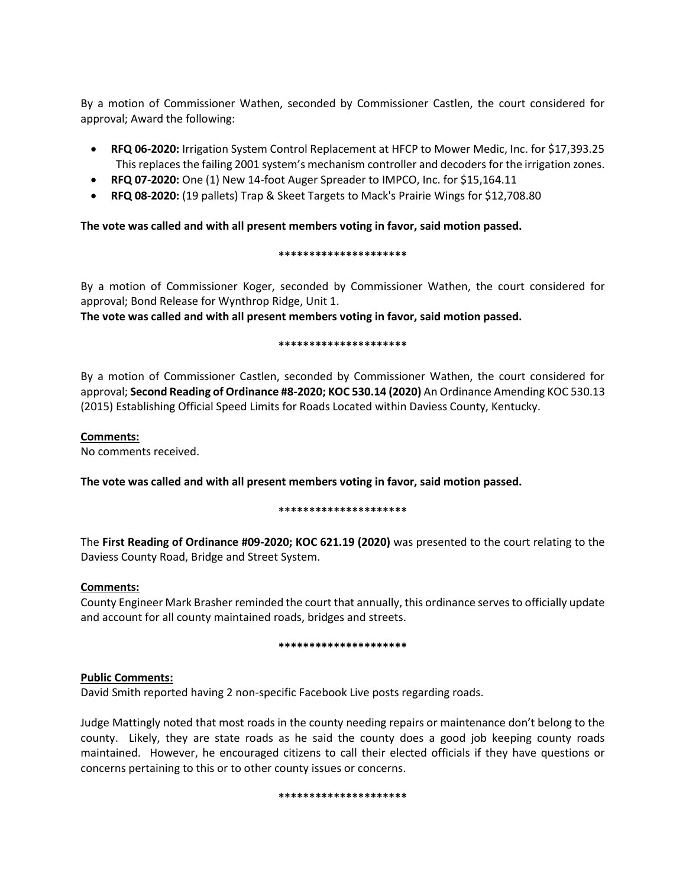By a motion of Commissioner Wathen, seconded by Commissioner Castlen, the court considered for approval; Award the following:

- **RFQ 06-2020:** Irrigation System Control Replacement at HFCP to Mower Medic, Inc. for \$17,393.25 This replaces the failing 2001 system's mechanism controller and decoders for the irrigation zones.
- **RFQ 07-2020:** One (1) New 14-foot Auger Spreader to IMPCO, Inc. for \$15,164.11
- **RFQ 08-2020:** (19 pallets) Trap & Skeet Targets to Mack's Prairie Wings for \$12,708.80

### **The vote was called and with all present members voting in favor, said motion passed.**

### **\*\*\*\*\*\*\*\*\*\*\*\*\*\*\*\*\*\*\*\*\***

By a motion of Commissioner Koger, seconded by Commissioner Wathen, the court considered for approval; Bond Release for Wynthrop Ridge, Unit 1.

**The vote was called and with all present members voting in favor, said motion passed.** 

### **\*\*\*\*\*\*\*\*\*\*\*\*\*\*\*\*\*\*\*\*\***

By a motion of Commissioner Castlen, seconded by Commissioner Wathen, the court considered for approval; **Second Reading of Ordinance #8-2020; KOC 530.14 (2020)** An Ordinance Amending KOC 530.13 (2015) Establishing Official Speed Limits for Roads Located within Daviess County, Kentucky.

### **Comments:**

No comments received.

**The vote was called and with all present members voting in favor, said motion passed.** 

### **\*\*\*\*\*\*\*\*\*\*\*\*\*\*\*\*\*\*\*\*\***

The **First Reading of Ordinance #09-2020; KOC 621.19 (2020)** was presented to the court relating to the Daviess County Road, Bridge and Street System.

### **Comments:**

County Engineer Mark Brasher reminded the court that annually, this ordinance serves to officially update and account for all county maintained roads, bridges and streets.

### **\*\*\*\*\*\*\*\*\*\*\*\*\*\*\*\*\*\*\*\*\***

## **Public Comments:**

David Smith reported having 2 non-specific Facebook Live posts regarding roads.

Judge Mattingly noted that most roads in the county needing repairs or maintenance don't belong to the county. Likely, they are state roads as he said the county does a good job keeping county roads maintained. However, he encouraged citizens to call their elected officials if they have questions or concerns pertaining to this or to other county issues or concerns.

#### **\*\*\*\*\*\*\*\*\*\*\*\*\*\*\*\*\*\*\*\*\***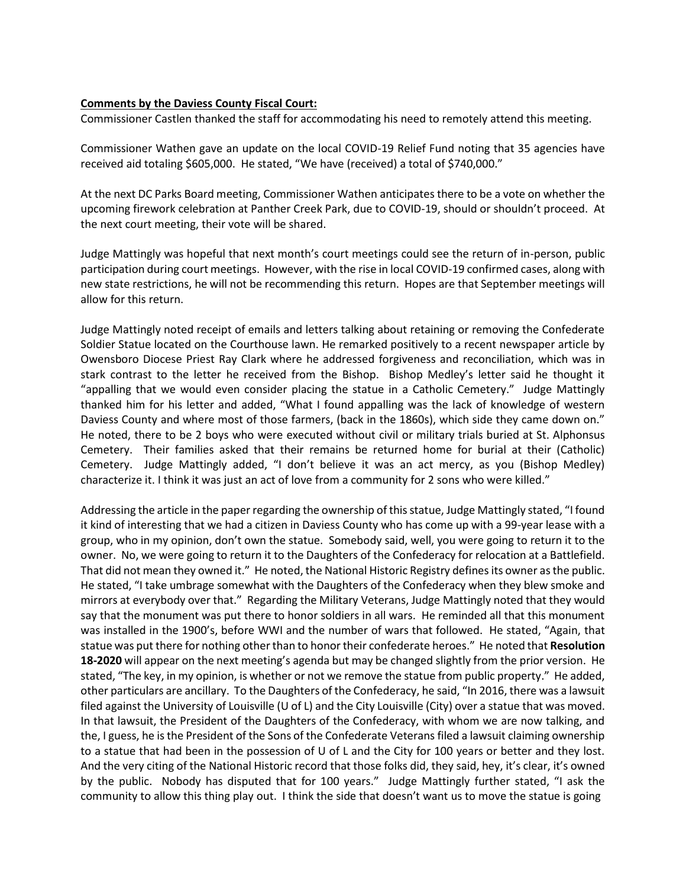### **Comments by the Daviess County Fiscal Court:**

Commissioner Castlen thanked the staff for accommodating his need to remotely attend this meeting.

Commissioner Wathen gave an update on the local COVID-19 Relief Fund noting that 35 agencies have received aid totaling \$605,000. He stated, "We have (received) a total of \$740,000."

At the next DC Parks Board meeting, Commissioner Wathen anticipates there to be a vote on whether the upcoming firework celebration at Panther Creek Park, due to COVID-19, should or shouldn't proceed. At the next court meeting, their vote will be shared.

Judge Mattingly was hopeful that next month's court meetings could see the return of in-person, public participation during court meetings. However, with the rise in local COVID-19 confirmed cases, along with new state restrictions, he will not be recommending this return. Hopes are that September meetings will allow for this return.

Judge Mattingly noted receipt of emails and letters talking about retaining or removing the Confederate Soldier Statue located on the Courthouse lawn. He remarked positively to a recent newspaper article by Owensboro Diocese Priest Ray Clark where he addressed forgiveness and reconciliation, which was in stark contrast to the letter he received from the Bishop. Bishop Medley's letter said he thought it "appalling that we would even consider placing the statue in a Catholic Cemetery." Judge Mattingly thanked him for his letter and added, "What I found appalling was the lack of knowledge of western Daviess County and where most of those farmers, (back in the 1860s), which side they came down on." He noted, there to be 2 boys who were executed without civil or military trials buried at St. Alphonsus Cemetery. Their families asked that their remains be returned home for burial at their (Catholic) Cemetery. Judge Mattingly added, "I don't believe it was an act mercy, as you (Bishop Medley) characterize it. I think it was just an act of love from a community for 2 sons who were killed."

Addressing the article in the paper regarding the ownership of this statue, Judge Mattingly stated, "I found it kind of interesting that we had a citizen in Daviess County who has come up with a 99-year lease with a group, who in my opinion, don't own the statue. Somebody said, well, you were going to return it to the owner. No, we were going to return it to the Daughters of the Confederacy for relocation at a Battlefield. That did not mean they owned it." He noted, the National Historic Registry defines its owner as the public. He stated, "I take umbrage somewhat with the Daughters of the Confederacy when they blew smoke and mirrors at everybody over that." Regarding the Military Veterans, Judge Mattingly noted that they would say that the monument was put there to honor soldiers in all wars. He reminded all that this monument was installed in the 1900's, before WWI and the number of wars that followed. He stated, "Again, that statue was put there for nothing other than to honor their confederate heroes." He noted that **Resolution 18-2020** will appear on the next meeting's agenda but may be changed slightly from the prior version. He stated, "The key, in my opinion, is whether or not we remove the statue from public property." He added, other particulars are ancillary. To the Daughters of the Confederacy, he said, "In 2016, there was a lawsuit filed against the University of Louisville (U of L) and the City Louisville (City) over a statue that was moved. In that lawsuit, the President of the Daughters of the Confederacy, with whom we are now talking, and the, I guess, he is the President of the Sons of the Confederate Veterans filed a lawsuit claiming ownership to a statue that had been in the possession of U of L and the City for 100 years or better and they lost. And the very citing of the National Historic record that those folks did, they said, hey, it's clear, it's owned by the public. Nobody has disputed that for 100 years." Judge Mattingly further stated, "I ask the community to allow this thing play out. I think the side that doesn't want us to move the statue is going